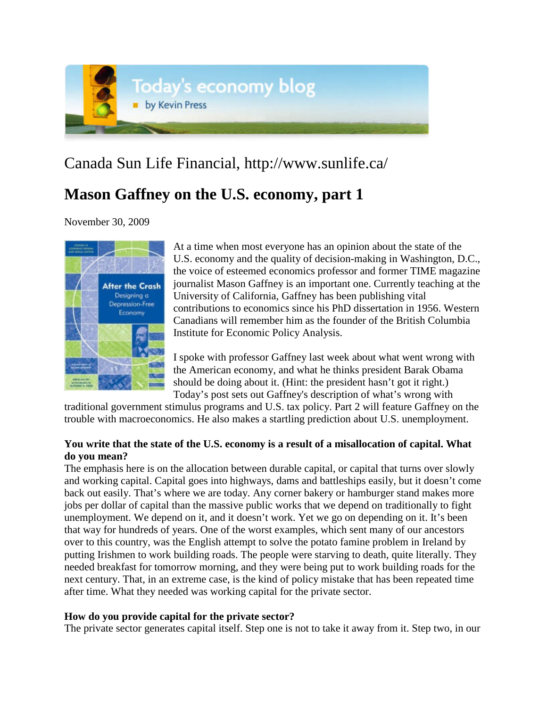

# Canada Sun Life Financial, http://www.sunlife.ca/

# **Mason Gaffney on the U.S. economy, part 1**

November 30, 2009



At a time when most everyone has an opinion about the state of the U.S. economy and the quality of decision-making in Washington, D.C., the voice of esteemed economics professor and former TIME magazine journalist Mason Gaffney is an important one. Currently teaching at the University of California, Gaffney has been publishing vital contributions to economics since his PhD dissertation in 1956. Western Canadians will remember him as the founder of the British Columbia Institute for Economic Policy Analysis.

I spoke with professor Gaffney last week about what went wrong with the American economy, and what he thinks president Barak Obama should be doing about it. (Hint: the president hasn't got it right.) Today's post sets out Gaffney's description of what's wrong with

traditional government stimulus programs and U.S. tax policy. Part 2 will feature Gaffney on the trouble with macroeconomics. He also makes a startling prediction about U.S. unemployment.

## **You write that the state of the U.S. economy is a result of a misallocation of capital. What do you mean?**

The emphasis here is on the allocation between durable capital, or capital that turns over slowly and working capital. Capital goes into highways, dams and battleships easily, but it doesn't come back out easily. That's where we are today. Any corner bakery or hamburger stand makes more jobs per dollar of capital than the massive public works that we depend on traditionally to fight unemployment. We depend on it, and it doesn't work. Yet we go on depending on it. It's been that way for hundreds of years. One of the worst examples, which sent many of our ancestors over to this country, was the English attempt to solve the potato famine problem in Ireland by putting Irishmen to work building roads. The people were starving to death, quite literally. They needed breakfast for tomorrow morning, and they were being put to work building roads for the next century. That, in an extreme case, is the kind of policy mistake that has been repeated time after time. What they needed was working capital for the private sector.

## **How do you provide capital for the private sector?**

The private sector generates capital itself. Step one is not to take it away from it. Step two, in our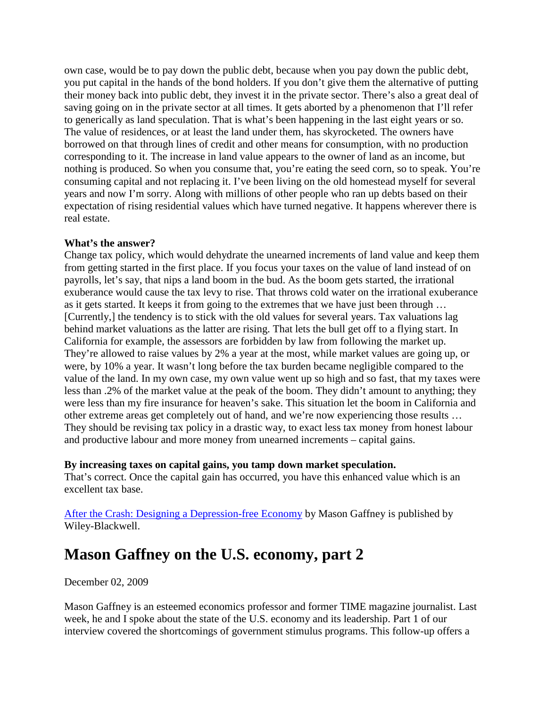own case, would be to pay down the public debt, because when you pay down the public debt, you put capital in the hands of the bond holders. If you don't give them the alternative of putting their money back into public debt, they invest it in the private sector. There's also a great deal of saving going on in the private sector at all times. It gets aborted by a phenomenon that I'll refer to generically as land speculation. That is what's been happening in the last eight years or so. The value of residences, or at least the land under them, has skyrocketed. The owners have borrowed on that through lines of credit and other means for consumption, with no production corresponding to it. The increase in land value appears to the owner of land as an income, but nothing is produced. So when you consume that, you're eating the seed corn, so to speak. You're consuming capital and not replacing it. I've been living on the old homestead myself for several years and now I'm sorry. Along with millions of other people who ran up debts based on their expectation of rising residential values which have turned negative. It happens wherever there is real estate.

### **What's the answer?**

Change tax policy, which would dehydrate the unearned increments of land value and keep them from getting started in the first place. If you focus your taxes on the value of land instead of on payrolls, let's say, that nips a land boom in the bud. As the boom gets started, the irrational exuberance would cause the tax levy to rise. That throws cold water on the irrational exuberance as it gets started. It keeps it from going to the extremes that we have just been through … [Currently,] the tendency is to stick with the old values for several years. Tax valuations lag behind market valuations as the latter are rising. That lets the bull get off to a flying start. In California for example, the assessors are forbidden by law from following the market up. They're allowed to raise values by 2% a year at the most, while market values are going up, or were, by 10% a year. It wasn't long before the tax burden became negligible compared to the value of the land. In my own case, my own value went up so high and so fast, that my taxes were less than .2% of the market value at the peak of the boom. They didn't amount to anything; they were less than my fire insurance for heaven's sake. This situation let the boom in California and other extreme areas get completely out of hand, and we're now experiencing those results … They should be revising tax policy in a drastic way, to exact less tax money from honest labour and productive labour and more money from unearned increments – capital gains.

### **By increasing taxes on capital gains, you tamp down market speculation.**

That's correct. Once the capital gain has occurred, you have this enhanced value which is an excellent tax base.

[After the Crash: Designing a Depression-free Economy](http://ca.wiley.com/WileyCDA/WileyTitle/productCd-1444333070.html) by Mason Gaffney is published by Wiley-Blackwell.

# **Mason Gaffney on the U.S. economy, part 2**

December 02, 2009

Mason Gaffney is an esteemed economics professor and former TIME magazine journalist. Last week, he and I spoke about the state of the U.S. economy and its leadership. Part 1 of our interview covered the shortcomings of government stimulus programs. This follow-up offers a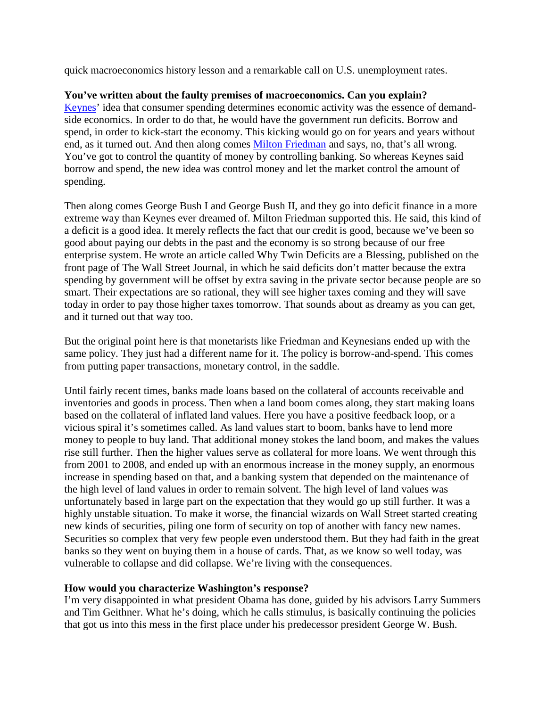quick macroeconomics history lesson and a remarkable call on U.S. unemployment rates.

### **You've written about the faulty premises of macroeconomics. Can you explain?**

[Keynes'](http://en.wikipedia.org/wiki/Keynesian_economics) idea that consumer spending determines economic activity was the essence of demandside economics. In order to do that, he would have the government run deficits. Borrow and spend, in order to kick-start the economy. This kicking would go on for years and years without end, as it turned out. And then along comes [Milton Friedman](http://en.wikipedia.org/wiki/Milton_Friedman) and says, no, that's all wrong. You've got to control the quantity of money by controlling banking. So whereas Keynes said borrow and spend, the new idea was control money and let the market control the amount of spending.

Then along comes George Bush I and George Bush II, and they go into deficit finance in a more extreme way than Keynes ever dreamed of. Milton Friedman supported this. He said, this kind of a deficit is a good idea. It merely reflects the fact that our credit is good, because we've been so good about paying our debts in the past and the economy is so strong because of our free enterprise system. He wrote an article called Why Twin Deficits are a Blessing, published on the front page of The Wall Street Journal, in which he said deficits don't matter because the extra spending by government will be offset by extra saving in the private sector because people are so smart. Their expectations are so rational, they will see higher taxes coming and they will save today in order to pay those higher taxes tomorrow. That sounds about as dreamy as you can get, and it turned out that way too.

But the original point here is that monetarists like Friedman and Keynesians ended up with the same policy. They just had a different name for it. The policy is borrow-and-spend. This comes from putting paper transactions, monetary control, in the saddle.

Until fairly recent times, banks made loans based on the collateral of accounts receivable and inventories and goods in process. Then when a land boom comes along, they start making loans based on the collateral of inflated land values. Here you have a positive feedback loop, or a vicious spiral it's sometimes called. As land values start to boom, banks have to lend more money to people to buy land. That additional money stokes the land boom, and makes the values rise still further. Then the higher values serve as collateral for more loans. We went through this from 2001 to 2008, and ended up with an enormous increase in the money supply, an enormous increase in spending based on that, and a banking system that depended on the maintenance of the high level of land values in order to remain solvent. The high level of land values was unfortunately based in large part on the expectation that they would go up still further. It was a highly unstable situation. To make it worse, the financial wizards on Wall Street started creating new kinds of securities, piling one form of security on top of another with fancy new names. Securities so complex that very few people even understood them. But they had faith in the great banks so they went on buying them in a house of cards. That, as we know so well today, was vulnerable to collapse and did collapse. We're living with the consequences.

### **How would you characterize Washington's response?**

I'm very disappointed in what president Obama has done, guided by his advisors Larry Summers and Tim Geithner. What he's doing, which he calls stimulus, is basically continuing the policies that got us into this mess in the first place under his predecessor president George W. Bush.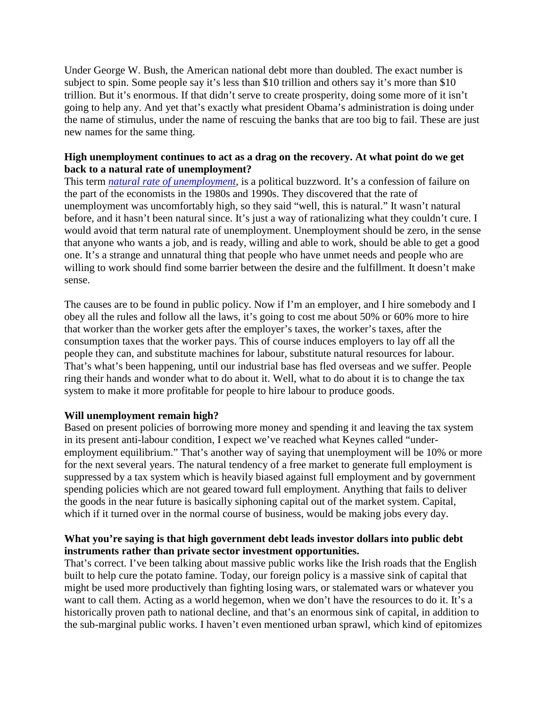Under George W. Bush, the American national debt more than doubled. The exact number is subject to spin. Some people say it's less than \$10 trillion and others say it's more than \$10 trillion. But it's enormous. If that didn't serve to create prosperity, doing some more of it isn't going to help any. And yet that's exactly what president Obama's administration is doing under the name of stimulus, under the name of rescuing the banks that are too big to fail. These are just new names for the same thing.

### **High unemployment continues to act as a drag on the recovery. At what point do we get backtoa [natural rate of unemployment?](http://en.wikipedia.org/wiki/Natural_rate_of_unemployment)**

This term *natural rate of unemployment,* is a political buzzword. It's a confession of failure on the part of the economists in the 1980s and 1990s. They discovered that the rate of unemployment was uncomfortably high, so they said "well, this is natural." It wasn't natural before, and it hasn't been natural since. It's just a way of rationalizing what they couldn't cure. I would avoid that term natural rate of unemployment. Unemployment should be zero, in the sense that anyone who wants a job, and is ready, willing and able to work, should be able to get a good one. It's a strange and unnatural thing that people who have unmet needs and people who are willing to work should find some barrier between the desire and the fulfillment. It doesn't make sense.

The causes are to be found in public policy. Now if I'm an employer, and I hire somebody and I obey all the rules and follow all the laws, it's going to cost me about 50% or 60% more to hire that worker than the worker gets after the employer's taxes, the worker's taxes, after the consumption taxes that the worker pays. This of course induces employers to lay off all the people they can, and substitute machines for labour, substitute natural resources for labour. That's what's been happening, until our industrial base has fled overseas and we suffer. People ring their hands and wonder what to do about it. Well, what to do about it is to change the tax system to make it more profitable for people to hire labour to produce goods.

### **Will unemployment remain high?**

Based on present policies of borrowing more money and spending it and leaving the tax system in its present anti-labour condition, I expect we've reached what Keynes called "underemployment equilibrium." That's another way of saying that unemployment will be 10% or more for the next several years. The natural tendency of a free market to generate full employment is suppressed by a tax system which is heavily biased against full employment and by government spending policies which are not geared toward full employment. Anything that fails to deliver the goods in the near future is basically siphoning capital out of the market system. Capital, which if it turned over in the normal course of business, would be making jobs every day.

## **What you're saying is that high government debt leads investor dollars into public debt instruments rather than private sector investment opportunities.**

That's correct. I've been talking about massive public works like the Irish roads that the English built to help cure the potato famine. Today, our foreign policy is a massive sink of capital that might be used more productively than fighting losing wars, or stalemated wars or whatever you want to call them. Acting as a world hegemon, when we don't have the resources to do it. It's a historically proven path to national decline, and that's an enormous sink of capital, in addition to the sub-marginal public works. I haven't even mentioned urban sprawl, which kind of epitomizes